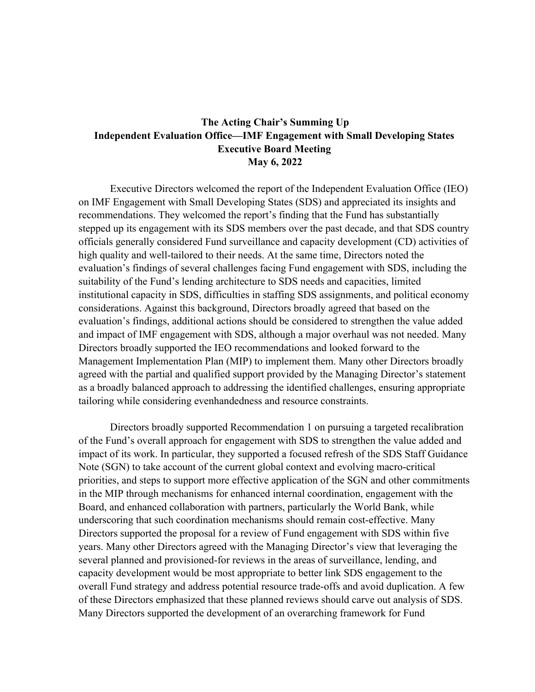## **The Acting Chair's Summing Up Independent Evaluation Office—IMF Engagement with Small Developing States Executive Board Meeting May 6, 2022**

Executive Directors welcomed the report of the Independent Evaluation Office (IEO) on IMF Engagement with Small Developing States (SDS) and appreciated its insights and recommendations. They welcomed the report's finding that the Fund has substantially stepped up its engagement with its SDS members over the past decade, and that SDS country officials generally considered Fund surveillance and capacity development (CD) activities of high quality and well-tailored to their needs. At the same time, Directors noted the evaluation's findings of several challenges facing Fund engagement with SDS, including the suitability of the Fund's lending architecture to SDS needs and capacities, limited institutional capacity in SDS, difficulties in staffing SDS assignments, and political economy considerations. Against this background, Directors broadly agreed that based on the evaluation's findings, additional actions should be considered to strengthen the value added and impact of IMF engagement with SDS, although a major overhaul was not needed. Many Directors broadly supported the IEO recommendations and looked forward to the Management Implementation Plan (MIP) to implement them. Many other Directors broadly agreed with the partial and qualified support provided by the Managing Director's statement as a broadly balanced approach to addressing the identified challenges, ensuring appropriate tailoring while considering evenhandedness and resource constraints.

Directors broadly supported Recommendation 1 on pursuing a targeted recalibration of the Fund's overall approach for engagement with SDS to strengthen the value added and impact of its work. In particular, they supported a focused refresh of the SDS Staff Guidance Note (SGN) to take account of the current global context and evolving macro-critical priorities, and steps to support more effective application of the SGN and other commitments in the MIP through mechanisms for enhanced internal coordination, engagement with the Board, and enhanced collaboration with partners, particularly the World Bank, while underscoring that such coordination mechanisms should remain cost-effective. Many Directors supported the proposal for a review of Fund engagement with SDS within five years. Many other Directors agreed with the Managing Director's view that leveraging the several planned and provisioned-for reviews in the areas of surveillance, lending, and capacity development would be most appropriate to better link SDS engagement to the overall Fund strategy and address potential resource trade-offs and avoid duplication. A few of these Directors emphasized that these planned reviews should carve out analysis of SDS. Many Directors supported the development of an overarching framework for Fund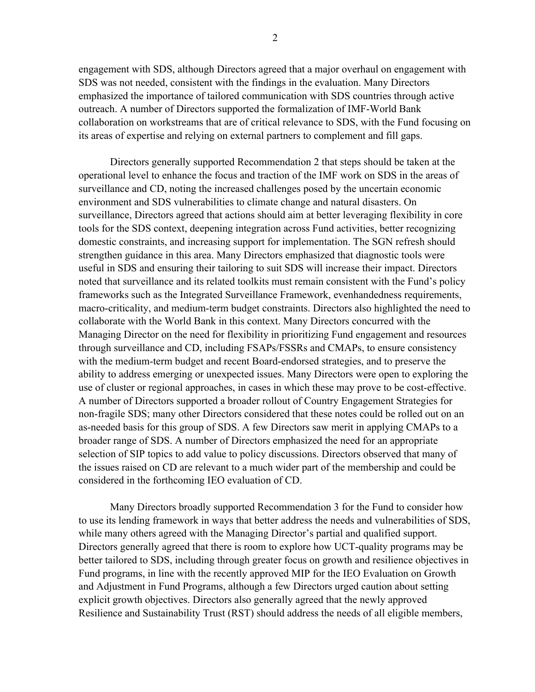engagement with SDS, although Directors agreed that a major overhaul on engagement with SDS was not needed, consistent with the findings in the evaluation. Many Directors emphasized the importance of tailored communication with SDS countries through active outreach. A number of Directors supported the formalization of IMF-World Bank collaboration on workstreams that are of critical relevance to SDS, with the Fund focusing on its areas of expertise and relying on external partners to complement and fill gaps.

Directors generally supported Recommendation 2 that steps should be taken at the operational level to enhance the focus and traction of the IMF work on SDS in the areas of surveillance and CD, noting the increased challenges posed by the uncertain economic environment and SDS vulnerabilities to climate change and natural disasters. On surveillance, Directors agreed that actions should aim at better leveraging flexibility in core tools for the SDS context, deepening integration across Fund activities, better recognizing domestic constraints, and increasing support for implementation. The SGN refresh should strengthen guidance in this area. Many Directors emphasized that diagnostic tools were useful in SDS and ensuring their tailoring to suit SDS will increase their impact. Directors noted that surveillance and its related toolkits must remain consistent with the Fund's policy frameworks such as the Integrated Surveillance Framework, evenhandedness requirements, macro-criticality, and medium-term budget constraints. Directors also highlighted the need to collaborate with the World Bank in this context. Many Directors concurred with the Managing Director on the need for flexibility in prioritizing Fund engagement and resources through surveillance and CD, including FSAPs/FSSRs and CMAPs, to ensure consistency with the medium-term budget and recent Board-endorsed strategies, and to preserve the ability to address emerging or unexpected issues. Many Directors were open to exploring the use of cluster or regional approaches, in cases in which these may prove to be cost-effective. A number of Directors supported a broader rollout of Country Engagement Strategies for non-fragile SDS; many other Directors considered that these notes could be rolled out on an as-needed basis for this group of SDS. A few Directors saw merit in applying CMAPs to a broader range of SDS. A number of Directors emphasized the need for an appropriate selection of SIP topics to add value to policy discussions. Directors observed that many of the issues raised on CD are relevant to a much wider part of the membership and could be considered in the forthcoming IEO evaluation of CD.

Many Directors broadly supported Recommendation 3 for the Fund to consider how to use its lending framework in ways that better address the needs and vulnerabilities of SDS, while many others agreed with the Managing Director's partial and qualified support. Directors generally agreed that there is room to explore how UCT-quality programs may be better tailored to SDS, including through greater focus on growth and resilience objectives in Fund programs, in line with the recently approved MIP for the IEO Evaluation on Growth and Adjustment in Fund Programs, although a few Directors urged caution about setting explicit growth objectives. Directors also generally agreed that the newly approved Resilience and Sustainability Trust (RST) should address the needs of all eligible members,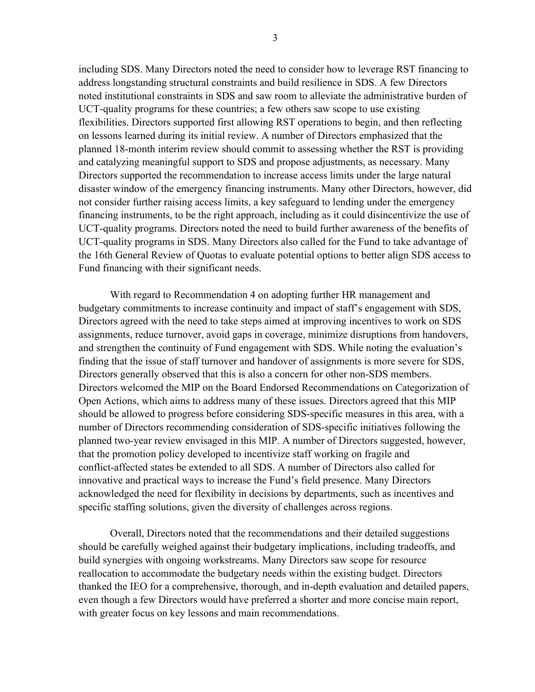including SDS. Many Directors noted the need to consider how to leverage RST financing to address longstanding structural constraints and build resilience in SDS. A few Directors noted institutional constraints in SDS and saw room to alleviate the administrative burden of UCT-quality programs for these countries; a few others saw scope to use existing flexibilities. Directors supported first allowing RST operations to begin, and then reflecting on lessons learned during its initial review. A number of Directors emphasized that the planned 18-month interim review should commit to assessing whether the RST is providing and catalyzing meaningful support to SDS and propose adjustments, as necessary. Many Directors supported the recommendation to increase access limits under the large natural disaster window of the emergency financing instruments. Many other Directors, however, did not consider further raising access limits, a key safeguard to lending under the emergency financing instruments, to be the right approach, including as it could disincentivize the use of UCT-quality programs. Directors noted the need to build further awareness of the benefits of UCT-quality programs in SDS. Many Directors also called for the Fund to take advantage of the 16th General Review of Quotas to evaluate potential options to better align SDS access to Fund financing with their significant needs.

With regard to Recommendation 4 on adopting further HR management and budgetary commitments to increase continuity and impact of staff's engagement with SDS, Directors agreed with the need to take steps aimed at improving incentives to work on SDS assignments, reduce turnover, avoid gaps in coverage, minimize disruptions from handovers, and strengthen the continuity of Fund engagement with SDS. While noting the evaluation's finding that the issue of staff turnover and handover of assignments is more severe for SDS, Directors generally observed that this is also a concern for other non-SDS members. Directors welcomed the MIP on the Board Endorsed Recommendations on Categorization of Open Actions, which aims to address many of these issues. Directors agreed that this MIP should be allowed to progress before considering SDS-specific measures in this area, with a number of Directors recommending consideration of SDS-specific initiatives following the planned two-year review envisaged in this MIP. A number of Directors suggested, however, that the promotion policy developed to incentivize staff working on fragile and conflict-affected states be extended to all SDS. A number of Directors also called for innovative and practical ways to increase the Fund's field presence. Many Directors acknowledged the need for flexibility in decisions by departments, such as incentives and specific staffing solutions, given the diversity of challenges across regions.

Overall, Directors noted that the recommendations and their detailed suggestions should be carefully weighed against their budgetary implications, including tradeoffs, and build synergies with ongoing workstreams. Many Directors saw scope for resource reallocation to accommodate the budgetary needs within the existing budget. Directors thanked the IEO for a comprehensive, thorough, and in-depth evaluation and detailed papers, even though a few Directors would have preferred a shorter and more concise main report, with greater focus on key lessons and main recommendations.